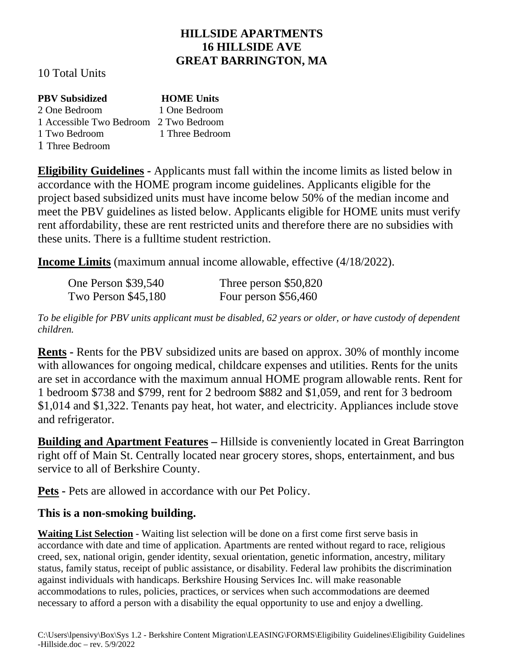## **HILLSIDE APARTMENTS 16 HILLSIDE AVE GREAT BARRINGTON, MA**

10 Total Units

| <b>PBV Subsidized</b>                  | <b>HOME Units</b> |
|----------------------------------------|-------------------|
| 2 One Bedroom                          | 1 One Bedroom     |
| 1 Accessible Two Bedroom 2 Two Bedroom |                   |
| 1 Two Bedroom                          | 1 Three Bedroom   |
| 1 Three Bedroom                        |                   |

**Eligibility Guidelines -** Applicants must fall within the income limits as listed below in accordance with the HOME program income guidelines. Applicants eligible for the project based subsidized units must have income below 50% of the median income and meet the PBV guidelines as listed below. Applicants eligible for HOME units must verify rent affordability, these are rent restricted units and therefore there are no subsidies with these units. There is a fulltime student restriction.

**Income Limits** (maximum annual income allowable, effective (4/18/2022).

| <b>One Person \$39,540</b> | Three person \$50,820 |
|----------------------------|-----------------------|
| <b>Two Person \$45,180</b> | Four person \$56,460  |

*To be eligible for PBV units applicant must be disabled, 62 years or older, or have custody of dependent children.* 

**Rents -** Rents for the PBV subsidized units are based on approx. 30% of monthly income with allowances for ongoing medical, childcare expenses and utilities. Rents for the units are set in accordance with the maximum annual HOME program allowable rents. Rent for 1 bedroom \$738 and \$799, rent for 2 bedroom \$882 and \$1,059, and rent for 3 bedroom \$1,014 and \$1,322. Tenants pay heat, hot water, and electricity. Appliances include stove and refrigerator.

**Building and Apartment Features –** Hillside is conveniently located in Great Barrington right off of Main St. Centrally located near grocery stores, shops, entertainment, and bus service to all of Berkshire County.

**Pets -** Pets are allowed in accordance with our Pet Policy.

## **This is a non-smoking building.**

**Waiting List Selection -** Waiting list selection will be done on a first come first serve basis in accordance with date and time of application. Apartments are rented without regard to race, religious creed, sex, national origin, gender identity, sexual orientation, genetic information, ancestry, military status, family status, receipt of public assistance, or disability. Federal law prohibits the discrimination against individuals with handicaps. Berkshire Housing Services Inc. will make reasonable accommodations to rules, policies, practices, or services when such accommodations are deemed necessary to afford a person with a disability the equal opportunity to use and enjoy a dwelling.